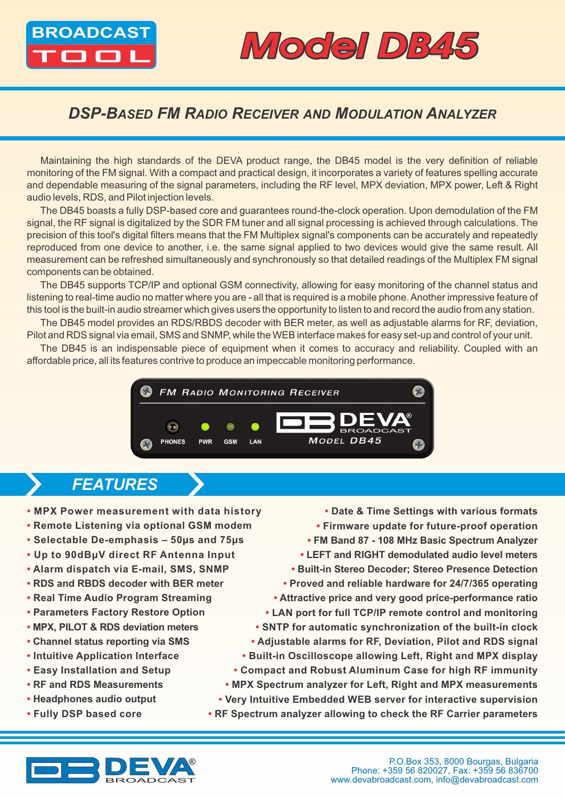

## BROADCAST MOOR DB45

### *DSP-BASED FM RADIO RECEIVER AND MODULATION ANALYZER*

Maintaining the high standards of the DEVA product range, the DB45 model is the very definition of reliable monitoring of the FM signal. With a compact and practical design, it incorporates a variety of features spelling accurate and dependable measuring of the signal parameters, including the RF level, MPX deviation, MPX power, Left & Right audio levels, RDS, and Pilot injection levels.

The DB45 boasts a fully DSP-based core and guarantees round-the-clock operation. Upon demodulation of the FM signal, the RF signal is digitalized by the SDR FM tuner and all signal processing is achieved through calculations. The precision of this tool's digital filters means that the FM Multiplex signal's components can be accurately and repeatedly reproduced from one device to another, i.e. the same signal applied to two devices would give the same result. All measurement can be refreshed simultaneously and synchronously so that detailed readings of the Multiplex FM signal components can be obtained.

The DB45 supports TCP/IP and optional GSM connectivity, allowing for easy monitoring of the channel status and listening to real-time audio no matter where you are - all that is required is a mobile phone. Another impressive feature of this tool is the built-in audio streamer which gives users the opportunity to listen to and record the audio from any station.

The DB45 model provides an RDS/RBDS decoder with BER meter, as well as adjustable alarms for RF, deviation, Pilot and RDS signal via email, SMS and SNMP, while the WEB interface makes for easy set-up and control of your unit.

The DB45 is an indispensable piece of equipment when it comes to accuracy and reliability. Coupled with an affordable price, all its features contrive to produce an impeccable monitoring performance.



### *FEATURES*

- **• MPX Power measurement with data history**
- **• Remote Listening via optional GSM modem**
- **• Selectable De-emphasis 50µs and 75µs**
- **• Up to 90dBµV direct RF Antenna Input**
- **• Alarm dispatch via E-mail, SMS, SNMP**
- **RDS and RBDS decoder with BER meter**
- **• Real Time Audio Program Streaming**
- **• Parameters Factory Restore Option**
- **• MPX, PILOT & RDS deviation meters**
- **• Channel status reporting via SMS**
- **• Intuitive Application Interface**
- **• Easy Installation and Setup**
- **RF and RDS Measurements**
- **Headphones audio output**
- **• Fully DSP based core**

**• Date & Time Settings with various formats • Firmware update for future-proof operation • FM Band 87 - 108 MHz Basic Spectrum Analyzer • LEFT and RIGHT demodulated audio level meters • Built-in Stereo Decoder; Stereo Presence Detection • Proved and reliable hardware for 24/7/365 operating • Attractive price and very good price-performance ratio • LAN port for full TCP/IP remote control and monitoring • SNTP for automatic synchronization of the built-in clock • Adjustable alarms for RF, Deviation, Pilot and RDS signal • Built-in Oscilloscope allowing Left, Right and MPX display • Compact and Robust Aluminum Case for high RF immunity • MPX Spectrum analyzer for Left, Right and MPX measurements • Very Intuitive Embedded WEB server for interactive supervision**

**• RF Spectrum analyzer allowing to check the RF Carrier parameters**